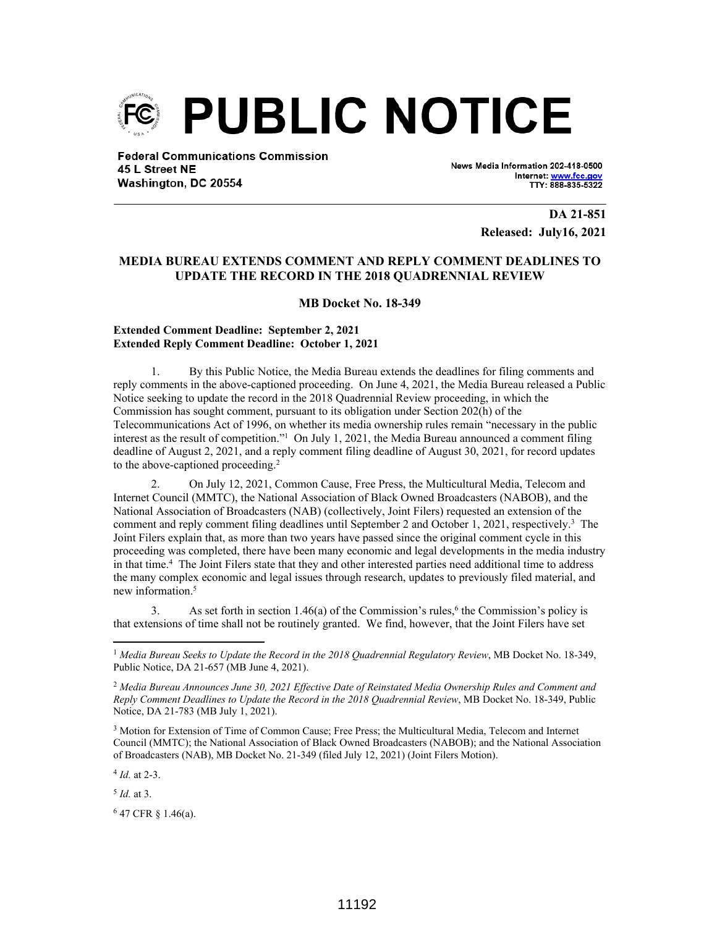

**Federal Communications Commission** 45 L Street NE Washington, DC 20554

News Media Information 202-418-0500 Internet: www.fcc.go TTY: 888-835-5322

> **DA 21-851 Released: July16, 2021**

## **MEDIA BUREAU EXTENDS COMMENT AND REPLY COMMENT DEADLINES TO UPDATE THE RECORD IN THE 2018 QUADRENNIAL REVIEW**

**MB Docket No. 18-349**

## **Extended Comment Deadline: September 2, 2021 Extended Reply Comment Deadline: October 1, 2021**

1. By this Public Notice, the Media Bureau extends the deadlines for filing comments and reply comments in the above-captioned proceeding. On June 4, 2021, the Media Bureau released a Public Notice seeking to update the record in the 2018 Quadrennial Review proceeding, in which the Commission has sought comment, pursuant to its obligation under Section 202(h) of the Telecommunications Act of 1996, on whether its media ownership rules remain "necessary in the public interest as the result of competition."<sup>1</sup> On July 1, 2021, the Media Bureau announced a comment filing deadline of August 2, 2021, and a reply comment filing deadline of August 30, 2021, for record updates to the above-captioned proceeding.<sup>2</sup>

2. On July 12, 2021, Common Cause, Free Press, the Multicultural Media, Telecom and Internet Council (MMTC), the National Association of Black Owned Broadcasters (NABOB), and the National Association of Broadcasters (NAB) (collectively, Joint Filers) requested an extension of the comment and reply comment filing deadlines until September 2 and October 1, 2021, respectively.<sup>3</sup> The Joint Filers explain that, as more than two years have passed since the original comment cycle in this proceeding was completed, there have been many economic and legal developments in the media industry in that time.<sup>4</sup> The Joint Filers state that they and other interested parties need additional time to address the many complex economic and legal issues through research, updates to previously filed material, and new information.<sup>5</sup>

3. As set forth in section  $1.46(a)$  of the Commission's rules,<sup>6</sup> the Commission's policy is that extensions of time shall not be routinely granted. We find, however, that the Joint Filers have set

4 *Id.* at 2-3.

5 *Id.* at 3.

 $647$  CFR § 1.46(a).

<sup>1</sup> *Media Bureau Seeks to Update the Record in the 2018 Quadrennial Regulatory Review*, MB Docket No. 18-349, Public Notice, DA 21-657 (MB June 4, 2021).

<sup>2</sup> *Media Bureau Announces June 30, 2021 Effective Date of Reinstated Media Ownership Rules and Comment and Reply Comment Deadlines to Update the Record in the 2018 Quadrennial Review*, MB Docket No. 18-349, Public Notice, DA 21-783 (MB July 1, 2021).

<sup>&</sup>lt;sup>3</sup> Motion for Extension of Time of Common Cause; Free Press; the Multicultural Media, Telecom and Internet Council (MMTC); the National Association of Black Owned Broadcasters (NABOB); and the National Association of Broadcasters (NAB), MB Docket No. 21-349 (filed July 12, 2021) (Joint Filers Motion).